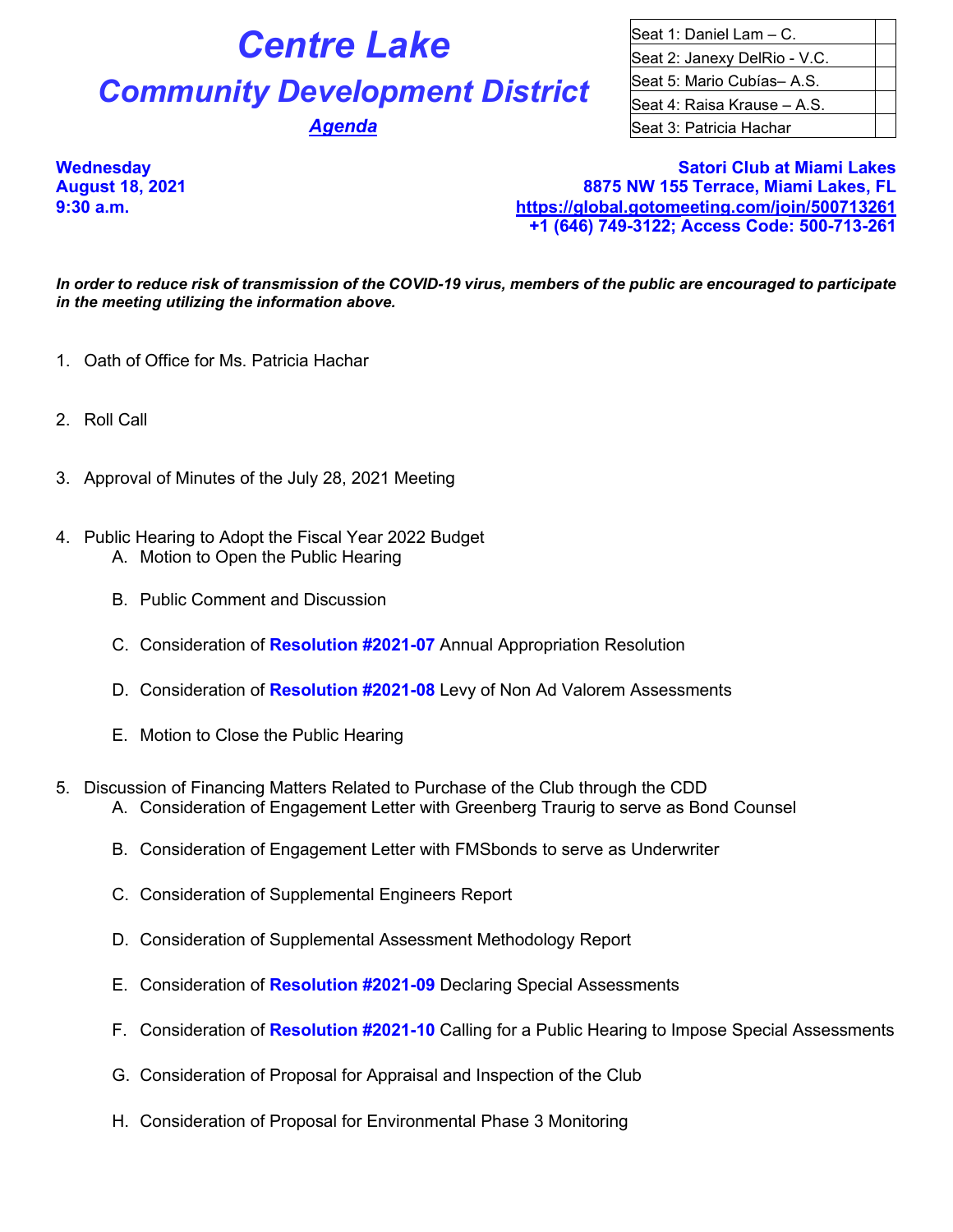## **Centre Lake** Seat 1: Daniel Lam – C.

## **Community Development District** Seat 5: Mario Cubías– A.S.

Seat 2: Janexy DelRio - V.C. Seat 4: Raisa Krause – A.S. **Agenda Seat 3: Patricia Hachar** Seat 3: Patricia Hachar

**Wednesday Satori Club at Miami Lakes August 18, 2021 8875 NW 155 Terrace, Miami Lakes, FL 9:30 a.m. <https://global.gotomeeting.com/join/500713261> +1 (646) 749-3122; Access Code: 500-713-261**

*In order to reduce risk of transmission of the COVID-19 virus, members of the public are encouraged to participate in the meeting utilizing the information above.*

- 1. Oath of Office for Ms. Patricia Hachar
- 2. Roll Call
- 3. Approval of Minutes of the July 28, 2021 Meeting
- 4. Public Hearing to Adopt the Fiscal Year 2022 Budget A. Motion to Open the Public Hearing
	- B. Public Comment and Discussion
	- C. Consideration of **Resolution #2021-07** Annual Appropriation Resolution
	- D. Consideration of **Resolution #2021-08** Levy of Non Ad Valorem Assessments
	- E. Motion to Close the Public Hearing
- 5. Discussion of Financing Matters Related to Purchase of the Club through the CDD
	- A. Consideration of Engagement Letter with Greenberg Traurig to serve as Bond Counsel
	- B. Consideration of Engagement Letter with FMSbonds to serve as Underwriter
	- C. Consideration of Supplemental Engineers Report
	- D. Consideration of Supplemental Assessment Methodology Report
	- E. Consideration of **Resolution #2021-09** Declaring Special Assessments
	- F. Consideration of **Resolution #2021-10** Calling for a Public Hearing to Impose Special Assessments
	- G. Consideration of Proposal for Appraisal and Inspection of the Club
	- H. Consideration of Proposal for Environmental Phase 3 Monitoring